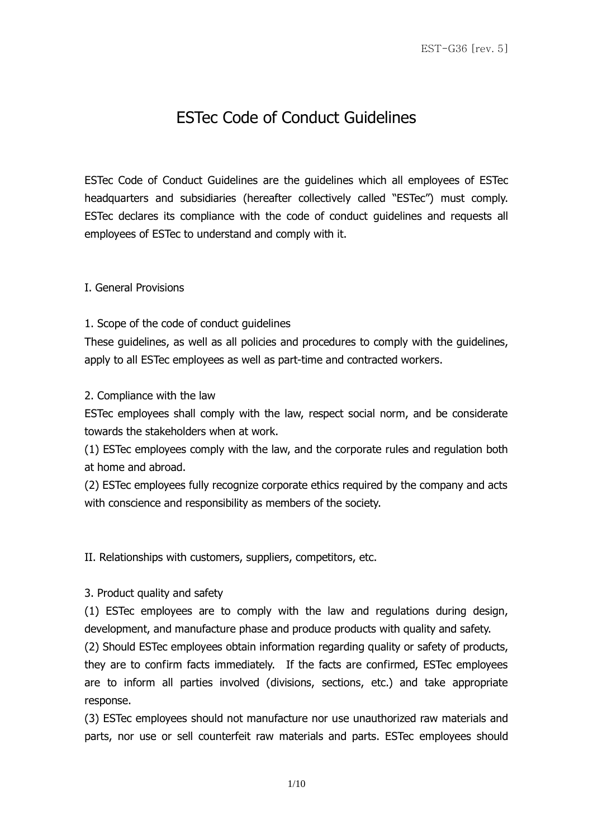# ESTec Code of Conduct Guidelines

ESTec Code of Conduct Guidelines are the guidelines which all employees of ESTec headquarters and subsidiaries (hereafter collectively called "ESTec") must comply. ESTec declares its compliance with the code of conduct guidelines and requests all employees of ESTec to understand and comply with it.

## I. General Provisions

## 1. Scope of the code of conduct guidelines

These guidelines, as well as all policies and procedures to comply with the guidelines, apply to all ESTec employees as well as part-time and contracted workers.

## 2. Compliance with the law

ESTec employees shall comply with the law, respect social norm, and be considerate towards the stakeholders when at work.

(1) ESTec employees comply with the law, and the corporate rules and regulation both at home and abroad.

(2) ESTec employees fully recognize corporate ethics required by the company and acts with conscience and responsibility as members of the society.

II. Relationships with customers, suppliers, competitors, etc.

3. Product quality and safety

(1) ESTec employees are to comply with the law and regulations during design, development, and manufacture phase and produce products with quality and safety.

(2) Should ESTec employees obtain information regarding quality or safety of products, they are to confirm facts immediately. If the facts are confirmed, ESTec employees are to inform all parties involved (divisions, sections, etc.) and take appropriate response.

(3) ESTec employees should not manufacture nor use unauthorized raw materials and parts, nor use or sell counterfeit raw materials and parts. ESTec employees should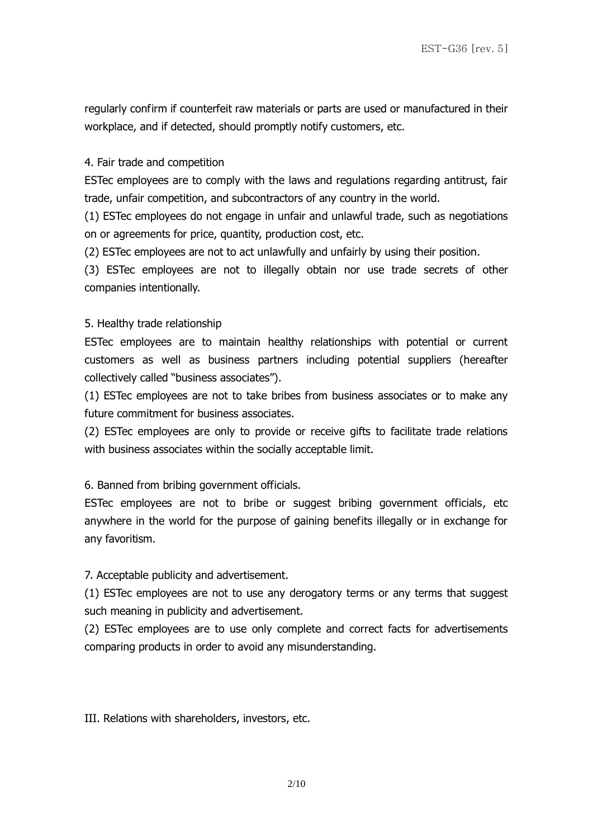regularly confirm if counterfeit raw materials or parts are used or manufactured in their workplace, and if detected, should promptly notify customers, etc.

## 4. Fair trade and competition

ESTec employees are to comply with the laws and regulations regarding antitrust, fair trade, unfair competition, and subcontractors of any country in the world.

(1) ESTec employees do not engage in unfair and unlawful trade, such as negotiations on or agreements for price, quantity, production cost, etc.

(2) ESTec employees are not to act unlawfully and unfairly by using their position.

(3) ESTec employees are not to illegally obtain nor use trade secrets of other companies intentionally.

## 5. Healthy trade relationship

ESTec employees are to maintain healthy relationships with potential or current customers as well as business partners including potential suppliers (hereafter collectively called "business associates").

(1) ESTec employees are not to take bribes from business associates or to make any future commitment for business associates.

(2) ESTec employees are only to provide or receive gifts to facilitate trade relations with business associates within the socially acceptable limit.

6. Banned from bribing government officials.

ESTec employees are not to bribe or suggest bribing government officials, etc anywhere in the world for the purpose of gaining benefits illegally or in exchange for any favoritism.

7. Acceptable publicity and advertisement.

(1) ESTec employees are not to use any derogatory terms or any terms that suggest such meaning in publicity and advertisement.

(2) ESTec employees are to use only complete and correct facts for advertisements comparing products in order to avoid any misunderstanding.

III. Relations with shareholders, investors, etc.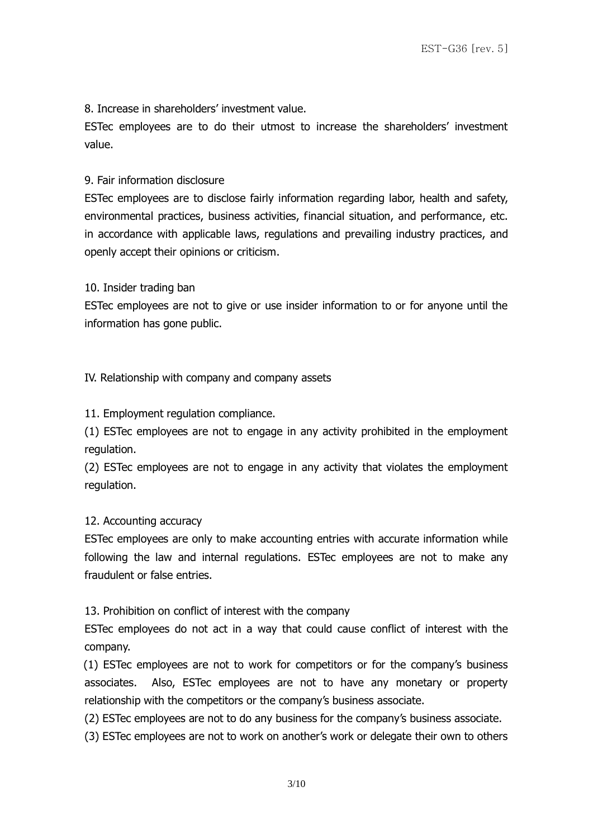8. Increase in shareholders' investment value.

ESTec employees are to do their utmost to increase the shareholders' investment value.

## 9. Fair information disclosure

ESTec employees are to disclose fairly information regarding labor, health and safety, environmental practices, business activities, financial situation, and performance, etc. in accordance with applicable laws, regulations and prevailing industry practices, and openly accept their opinions or criticism.

## 10. Insider trading ban

ESTec employees are not to give or use insider information to or for anyone until the information has gone public.

IV. Relationship with company and company assets

11. Employment regulation compliance.

(1) ESTec employees are not to engage in any activity prohibited in the employment regulation.

(2) ESTec employees are not to engage in any activity that violates the employment regulation.

# 12. Accounting accuracy

ESTec employees are only to make accounting entries with accurate information while following the law and internal regulations. ESTec employees are not to make any fraudulent or false entries.

13. Prohibition on conflict of interest with the company

ESTec employees do not act in a way that could cause conflict of interest with the company.

(1) ESTec employees are not to work for competitors or for the company's business associates. Also, ESTec employees are not to have any monetary or property relationship with the competitors or the company's business associate.

(2) ESTec employees are not to do any business for the company's business associate.

(3) ESTec employees are not to work on another's work or delegate their own to others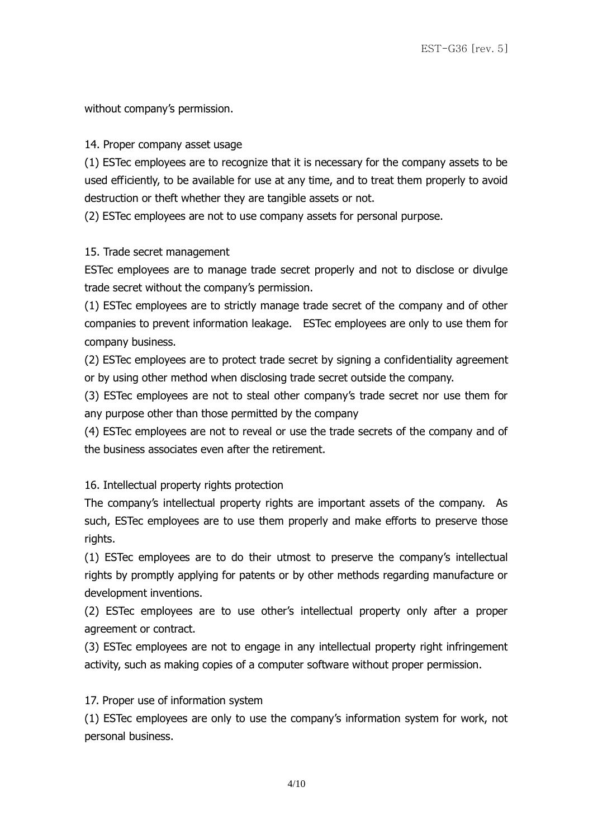without company's permission.

# 14. Proper company asset usage

(1) ESTec employees are to recognize that it is necessary for the company assets to be used efficiently, to be available for use at any time, and to treat them properly to avoid destruction or theft whether they are tangible assets or not.

(2) ESTec employees are not to use company assets for personal purpose.

# 15. Trade secret management

ESTec employees are to manage trade secret properly and not to disclose or divulge trade secret without the company's permission.

(1) ESTec employees are to strictly manage trade secret of the company and of other companies to prevent information leakage. ESTec employees are only to use them for company business.

(2) ESTec employees are to protect trade secret by signing a confidentiality agreement or by using other method when disclosing trade secret outside the company.

(3) ESTec employees are not to steal other company's trade secret nor use them for any purpose other than those permitted by the company

(4) ESTec employees are not to reveal or use the trade secrets of the company and of the business associates even after the retirement.

# 16. Intellectual property rights protection

The company's intellectual property rights are important assets of the company. As such, ESTec employees are to use them properly and make efforts to preserve those rights.

(1) ESTec employees are to do their utmost to preserve the company's intellectual rights by promptly applying for patents or by other methods regarding manufacture or development inventions.

(2) ESTec employees are to use other's intellectual property only after a proper agreement or contract.

(3) ESTec employees are not to engage in any intellectual property right infringement activity, such as making copies of a computer software without proper permission.

# 17. Proper use of information system

(1) ESTec employees are only to use the company's information system for work, not personal business.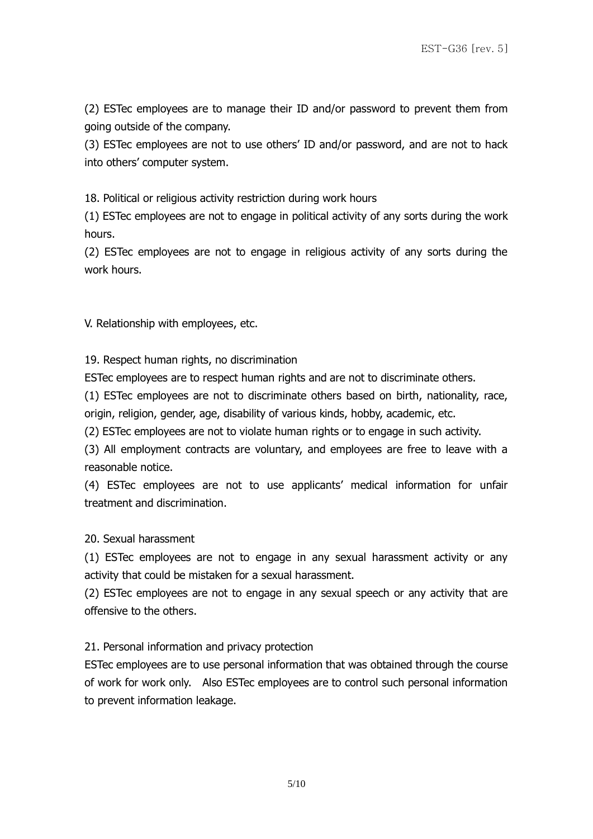(2) ESTec employees are to manage their ID and/or password to prevent them from going outside of the company.

(3) ESTec employees are not to use others' ID and/or password, and are not to hack into others' computer system.

18. Political or religious activity restriction during work hours

(1) ESTec employees are not to engage in political activity of any sorts during the work hours.

(2) ESTec employees are not to engage in religious activity of any sorts during the work hours.

V. Relationship with employees, etc.

19. Respect human rights, no discrimination

ESTec employees are to respect human rights and are not to discriminate others.

(1) ESTec employees are not to discriminate others based on birth, nationality, race, origin, religion, gender, age, disability of various kinds, hobby, academic, etc.

(2) ESTec employees are not to violate human rights or to engage in such activity.

(3) All employment contracts are voluntary, and employees are free to leave with a reasonable notice.

(4) ESTec employees are not to use applicants' medical information for unfair treatment and discrimination.

20. Sexual harassment

(1) ESTec employees are not to engage in any sexual harassment activity or any activity that could be mistaken for a sexual harassment.

(2) ESTec employees are not to engage in any sexual speech or any activity that are offensive to the others.

21. Personal information and privacy protection

ESTec employees are to use personal information that was obtained through the course of work for work only. Also ESTec employees are to control such personal information to prevent information leakage.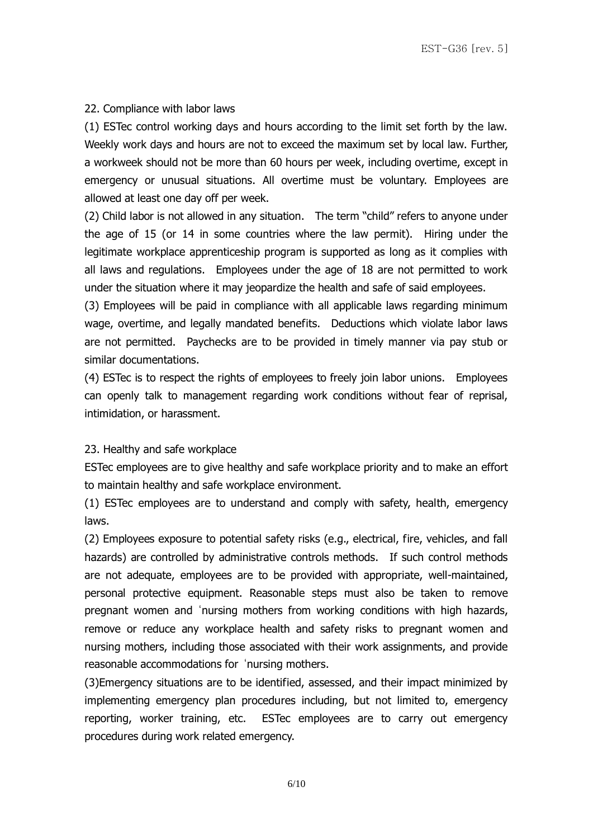# 22. Compliance with labor laws

(1) ESTec control working days and hours according to the limit set forth by the law. Weekly work days and hours are not to exceed the maximum set by local law. Further, a workweek should not be more than 60 hours per week, including overtime, except in emergency or unusual situations. All overtime must be voluntary. Employees are allowed at least one day off per week.

(2) Child labor is not allowed in any situation. The term "child" refers to anyone under the age of 15 (or 14 in some countries where the law permit). Hiring under the legitimate workplace apprenticeship program is supported as long as it complies with all laws and regulations. Employees under the age of 18 are not permitted to work under the situation where it may jeopardize the health and safe of said employees.

(3) Employees will be paid in compliance with all applicable laws regarding minimum wage, overtime, and legally mandated benefits. Deductions which violate labor laws are not permitted. Paychecks are to be provided in timely manner via pay stub or similar documentations.

(4) ESTec is to respect the rights of employees to freely join labor unions. Employees can openly talk to management regarding work conditions without fear of reprisal, intimidation, or harassment.

# 23. Healthy and safe workplace

ESTec employees are to give healthy and safe workplace priority and to make an effort to maintain healthy and safe workplace environment.

(1) ESTec employees are to understand and comply with safety, health, emergency laws.

(2) Employees exposure to potential safety risks (e.g., electrical, fire, vehicles, and fall hazards) are controlled by administrative controls methods. If such control methods are not adequate, employees are to be provided with appropriate, well-maintained, personal protective equipment. Reasonable steps must also be taken to remove pregnant women and 'nursing mothers from working conditions with high hazards, remove or reduce any workplace health and safety risks to pregnant women and nursing mothers, including those associated with their work assignments, and provide reasonable accommodations for 'nursing mothers.

(3)Emergency situations are to be identified, assessed, and their impact minimized by implementing emergency plan procedures including, but not limited to, emergency reporting, worker training, etc. ESTec employees are to carry out emergency procedures during work related emergency.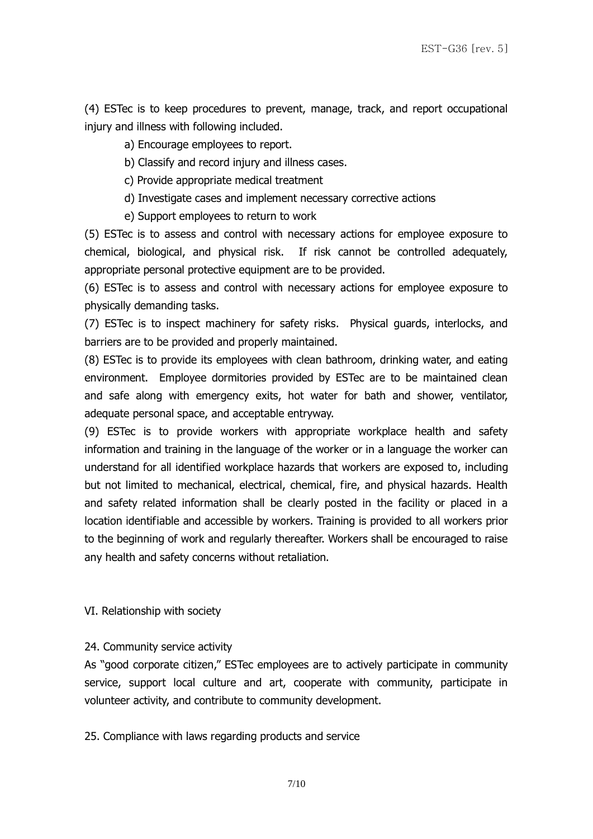(4) ESTec is to keep procedures to prevent, manage, track, and report occupational injury and illness with following included.

- a) Encourage employees to report.
- b) Classify and record injury and illness cases.
- c) Provide appropriate medical treatment
- d) Investigate cases and implement necessary corrective actions
- e) Support employees to return to work

(5) ESTec is to assess and control with necessary actions for employee exposure to chemical, biological, and physical risk. If risk cannot be controlled adequately, appropriate personal protective equipment are to be provided.

(6) ESTec is to assess and control with necessary actions for employee exposure to physically demanding tasks.

(7) ESTec is to inspect machinery for safety risks. Physical guards, interlocks, and barriers are to be provided and properly maintained.

(8) ESTec is to provide its employees with clean bathroom, drinking water, and eating environment. Employee dormitories provided by ESTec are to be maintained clean and safe along with emergency exits, hot water for bath and shower, ventilator, adequate personal space, and acceptable entryway.

(9) ESTec is to provide workers with appropriate workplace health and safety information and training in the language of the worker or in a language the worker can understand for all identified workplace hazards that workers are exposed to, including but not limited to mechanical, electrical, chemical, fire, and physical hazards. Health and safety related information shall be clearly posted in the facility or placed in a location identifiable and accessible by workers. Training is provided to all workers prior to the beginning of work and regularly thereafter. Workers shall be encouraged to raise any health and safety concerns without retaliation.

# VI. Relationship with society

#### 24. Community service activity

As "good corporate citizen," ESTec employees are to actively participate in community service, support local culture and art, cooperate with community, participate in volunteer activity, and contribute to community development.

25. Compliance with laws regarding products and service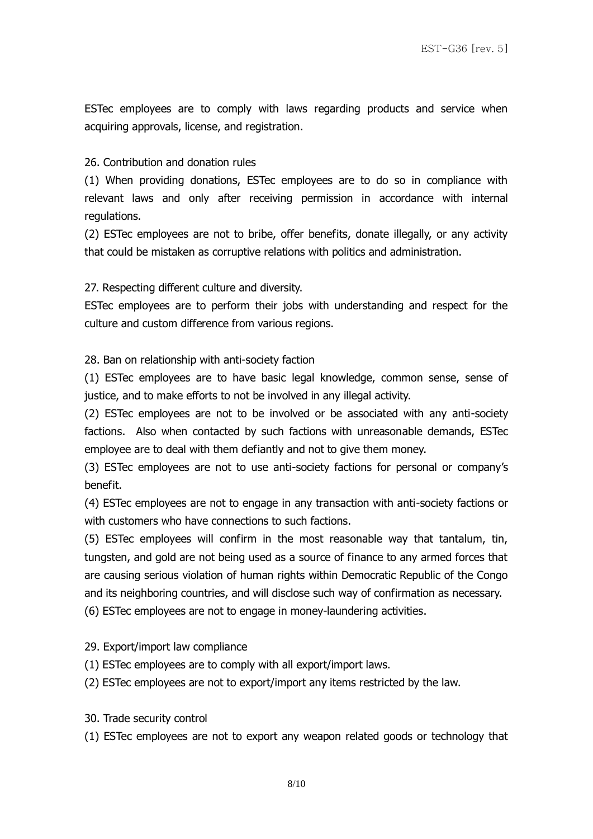ESTec employees are to comply with laws regarding products and service when acquiring approvals, license, and registration.

26. Contribution and donation rules

(1) When providing donations, ESTec employees are to do so in compliance with relevant laws and only after receiving permission in accordance with internal regulations.

(2) ESTec employees are not to bribe, offer benefits, donate illegally, or any activity that could be mistaken as corruptive relations with politics and administration.

27. Respecting different culture and diversity.

ESTec employees are to perform their jobs with understanding and respect for the culture and custom difference from various regions.

28. Ban on relationship with anti-society faction

(1) ESTec employees are to have basic legal knowledge, common sense, sense of justice, and to make efforts to not be involved in any illegal activity.

(2) ESTec employees are not to be involved or be associated with any anti-society factions. Also when contacted by such factions with unreasonable demands, ESTec employee are to deal with them defiantly and not to give them money.

(3) ESTec employees are not to use anti-society factions for personal or company's benefit.

(4) ESTec employees are not to engage in any transaction with anti-society factions or with customers who have connections to such factions.

(5) ESTec employees will confirm in the most reasonable way that tantalum, tin, tungsten, and gold are not being used as a source of finance to any armed forces that are causing serious violation of human rights within Democratic Republic of the Congo and its neighboring countries, and will disclose such way of confirmation as necessary. (6) ESTec employees are not to engage in money-laundering activities.

29. Export/import law compliance

(1) ESTec employees are to comply with all export/import laws.

(2) ESTec employees are not to export/import any items restricted by the law.

30. Trade security control

(1) ESTec employees are not to export any weapon related goods or technology that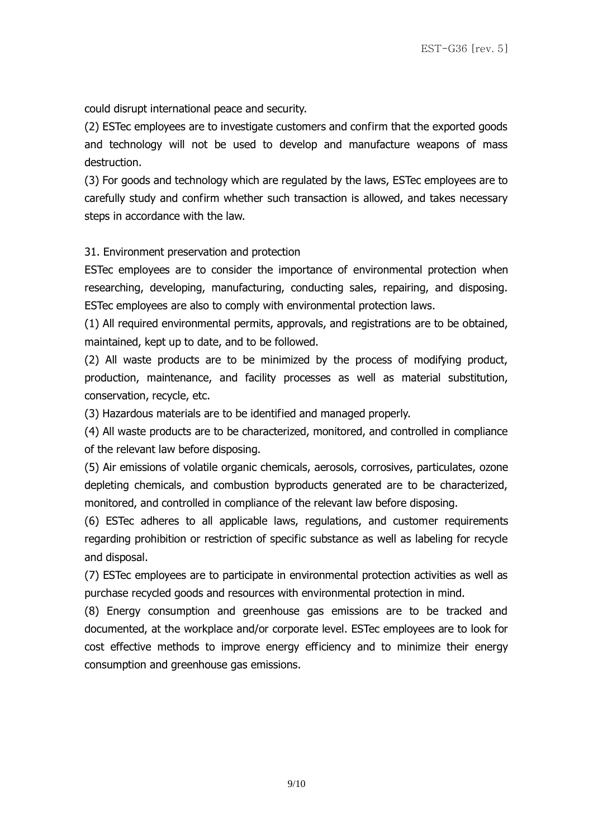could disrupt international peace and security.

(2) ESTec employees are to investigate customers and confirm that the exported goods and technology will not be used to develop and manufacture weapons of mass destruction.

(3) For goods and technology which are regulated by the laws, ESTec employees are to carefully study and confirm whether such transaction is allowed, and takes necessary steps in accordance with the law.

31. Environment preservation and protection

ESTec employees are to consider the importance of environmental protection when researching, developing, manufacturing, conducting sales, repairing, and disposing. ESTec employees are also to comply with environmental protection laws.

(1) All required environmental permits, approvals, and registrations are to be obtained, maintained, kept up to date, and to be followed.

(2) All waste products are to be minimized by the process of modifying product, production, maintenance, and facility processes as well as material substitution, conservation, recycle, etc.

(3) Hazardous materials are to be identified and managed properly.

(4) All waste products are to be characterized, monitored, and controlled in compliance of the relevant law before disposing.

(5) Air emissions of volatile organic chemicals, aerosols, corrosives, particulates, ozone depleting chemicals, and combustion byproducts generated are to be characterized, monitored, and controlled in compliance of the relevant law before disposing.

(6) ESTec adheres to all applicable laws, regulations, and customer requirements regarding prohibition or restriction of specific substance as well as labeling for recycle and disposal.

(7) ESTec employees are to participate in environmental protection activities as well as purchase recycled goods and resources with environmental protection in mind.

(8) Energy consumption and greenhouse gas emissions are to be tracked and documented, at the workplace and/or corporate level. ESTec employees are to look for cost effective methods to improve energy efficiency and to minimize their energy consumption and greenhouse gas emissions.